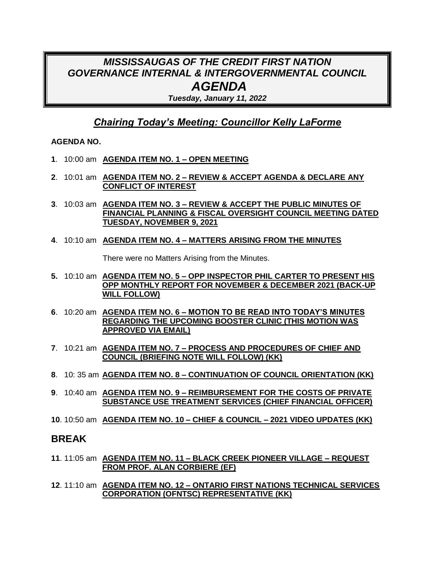# *MISSISSAUGAS OF THE CREDIT FIRST NATION GOVERNANCE INTERNAL & INTERGOVERNMENTAL COUNCIL AGENDA*

*Tuesday, January 11, 2022*

## *Chairing Today's Meeting: Councillor Kelly LaForme*

#### **AGENDA NO.**

- **1**. 10:00 am **AGENDA ITEM NO. 1 – OPEN MEETING**
- **2**. 10:01 am **AGENDA ITEM NO. 2 – REVIEW & ACCEPT AGENDA & DECLARE ANY CONFLICT OF INTEREST**
- **3**. 10:03 am **AGENDA ITEM NO. 3 – REVIEW & ACCEPT THE PUBLIC MINUTES OF FINANCIAL PLANNING & FISCAL OVERSIGHT COUNCIL MEETING DATED TUESDAY, NOVEMBER 9, 2021**
- **4**. 10:10 am **AGENDA ITEM NO. 4 – MATTERS ARISING FROM THE MINUTES**

There were no Matters Arising from the Minutes.

- **5.** 10:10 am **AGENDA ITEM NO. 5 – OPP INSPECTOR PHIL CARTER TO PRESENT HIS OPP MONTHLY REPORT FOR NOVEMBER & DECEMBER 2021 (BACK-UP WILL FOLLOW)**
- **6**. 10:20 am **AGENDA ITEM NO. 6 – MOTION TO BE READ INTO TODAY'S MINUTES REGARDING THE UPCOMING BOOSTER CLINIC (THIS MOTION WAS APPROVED VIA EMAIL)**
- **7**. 10:21 am **AGENDA ITEM NO. 7 – PROCESS AND PROCEDURES OF CHIEF AND COUNCIL (BRIEFING NOTE WILL FOLLOW) (KK)**
- **8**. 10: 35 am **AGENDA ITEM NO. 8 – CONTINUATION OF COUNCIL ORIENTATION (KK)**
- **9**. 10:40 am **AGENDA ITEM NO. 9 – REIMBURSEMENT FOR THE COSTS OF PRIVATE SUBSTANCE USE TREATMENT SERVICES (CHIEF FINANCIAL OFFICER)**
- **10**. 10:50 am **AGENDA ITEM NO. 10 – CHIEF & COUNCIL – 2021 VIDEO UPDATES (KK)**

### **BREAK**

- **11**. 11:05 am **AGENDA ITEM NO. 11 – BLACK CREEK PIONEER VILLAGE – REQUEST FROM PROF. ALAN CORBIERE (EF)**
- **12**. 11:10 am **AGENDA ITEM NO. 12 – ONTARIO FIRST NATIONS TECHNICAL SERVICES CORPORATION (OFNTSC) REPRESENTATIVE (KK)**